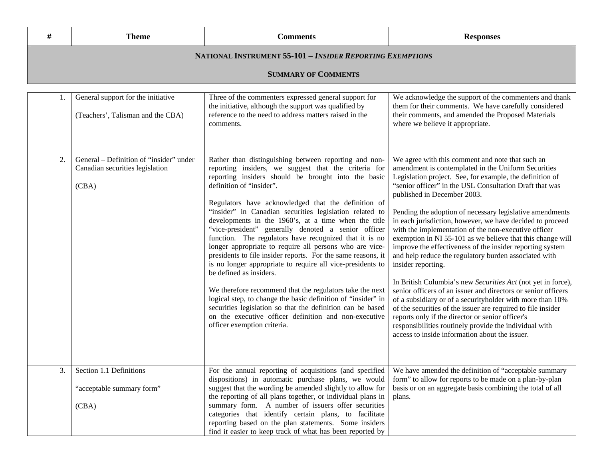| #  | <b>Theme</b>                                                                        | <b>Comments</b>                                                                                                                                                                                                                                                                                                                                                                                                                                                                                                                                                                                                                                                                                                                                                                                                                                                                                                                                                                                   | <b>Responses</b>                                                                                                                                                                                                                                                                                                                                                                                                                                                                                                                                                                                                                                                                                                                                                                                                                                                                                                                                                                                                                                                                       |  |  |
|----|-------------------------------------------------------------------------------------|---------------------------------------------------------------------------------------------------------------------------------------------------------------------------------------------------------------------------------------------------------------------------------------------------------------------------------------------------------------------------------------------------------------------------------------------------------------------------------------------------------------------------------------------------------------------------------------------------------------------------------------------------------------------------------------------------------------------------------------------------------------------------------------------------------------------------------------------------------------------------------------------------------------------------------------------------------------------------------------------------|----------------------------------------------------------------------------------------------------------------------------------------------------------------------------------------------------------------------------------------------------------------------------------------------------------------------------------------------------------------------------------------------------------------------------------------------------------------------------------------------------------------------------------------------------------------------------------------------------------------------------------------------------------------------------------------------------------------------------------------------------------------------------------------------------------------------------------------------------------------------------------------------------------------------------------------------------------------------------------------------------------------------------------------------------------------------------------------|--|--|
|    | <b>NATIONAL INSTRUMENT 55-101 - INSIDER REPORTING EXEMPTIONS</b>                    |                                                                                                                                                                                                                                                                                                                                                                                                                                                                                                                                                                                                                                                                                                                                                                                                                                                                                                                                                                                                   |                                                                                                                                                                                                                                                                                                                                                                                                                                                                                                                                                                                                                                                                                                                                                                                                                                                                                                                                                                                                                                                                                        |  |  |
|    |                                                                                     | <b>SUMMARY OF COMMENTS</b>                                                                                                                                                                                                                                                                                                                                                                                                                                                                                                                                                                                                                                                                                                                                                                                                                                                                                                                                                                        |                                                                                                                                                                                                                                                                                                                                                                                                                                                                                                                                                                                                                                                                                                                                                                                                                                                                                                                                                                                                                                                                                        |  |  |
|    |                                                                                     |                                                                                                                                                                                                                                                                                                                                                                                                                                                                                                                                                                                                                                                                                                                                                                                                                                                                                                                                                                                                   |                                                                                                                                                                                                                                                                                                                                                                                                                                                                                                                                                                                                                                                                                                                                                                                                                                                                                                                                                                                                                                                                                        |  |  |
|    | General support for the initiative<br>(Teachers', Talisman and the CBA)             | Three of the commenters expressed general support for<br>the initiative, although the support was qualified by<br>reference to the need to address matters raised in the<br>comments.                                                                                                                                                                                                                                                                                                                                                                                                                                                                                                                                                                                                                                                                                                                                                                                                             | We acknowledge the support of the commenters and thank<br>them for their comments. We have carefully considered<br>their comments, and amended the Proposed Materials<br>where we believe it appropriate.                                                                                                                                                                                                                                                                                                                                                                                                                                                                                                                                                                                                                                                                                                                                                                                                                                                                              |  |  |
| 2. | General – Definition of "insider" under<br>Canadian securities legislation<br>(CBA) | Rather than distinguishing between reporting and non-<br>reporting insiders, we suggest that the criteria for<br>reporting insiders should be brought into the basic<br>definition of "insider".<br>Regulators have acknowledged that the definition of<br>"insider" in Canadian securities legislation related to<br>developments in the 1960's, at a time when the title<br>"vice-president" generally denoted a senior officer<br>function. The regulators have recognized that it is no<br>longer appropriate to require all persons who are vice-<br>presidents to file insider reports. For the same reasons, it<br>is no longer appropriate to require all vice-presidents to<br>be defined as insiders.<br>We therefore recommend that the regulators take the next<br>logical step, to change the basic definition of "insider" in<br>securities legislation so that the definition can be based<br>on the executive officer definition and non-executive<br>officer exemption criteria. | We agree with this comment and note that such an<br>amendment is contemplated in the Uniform Securities<br>Legislation project. See, for example, the definition of<br>"senior officer" in the USL Consultation Draft that was<br>published in December 2003.<br>Pending the adoption of necessary legislative amendments<br>in each jurisdiction, however, we have decided to proceed<br>with the implementation of the non-executive officer<br>exemption in NI 55-101 as we believe that this change will<br>improve the effectiveness of the insider reporting system<br>and help reduce the regulatory burden associated with<br>insider reporting.<br>In British Columbia's new Securities Act (not yet in force),<br>senior officers of an issuer and directors or senior officers<br>of a subsidiary or of a securityholder with more than 10%<br>of the securities of the issuer are required to file insider<br>reports only if the director or senior officer's<br>responsibilities routinely provide the individual with<br>access to inside information about the issuer. |  |  |
| 3. | Section 1.1 Definitions<br>"acceptable summary form"<br>(CBA)                       | For the annual reporting of acquisitions (and specified<br>dispositions) in automatic purchase plans, we would<br>suggest that the wording be amended slightly to allow for<br>the reporting of all plans together, or individual plans in<br>summary form. A number of issuers offer securities<br>categories that identify certain plans, to facilitate<br>reporting based on the plan statements. Some insiders<br>find it easier to keep track of what has been reported by                                                                                                                                                                                                                                                                                                                                                                                                                                                                                                                   | We have amended the definition of "acceptable summary"<br>form" to allow for reports to be made on a plan-by-plan<br>basis or on an aggregate basis combining the total of all<br>plans.                                                                                                                                                                                                                                                                                                                                                                                                                                                                                                                                                                                                                                                                                                                                                                                                                                                                                               |  |  |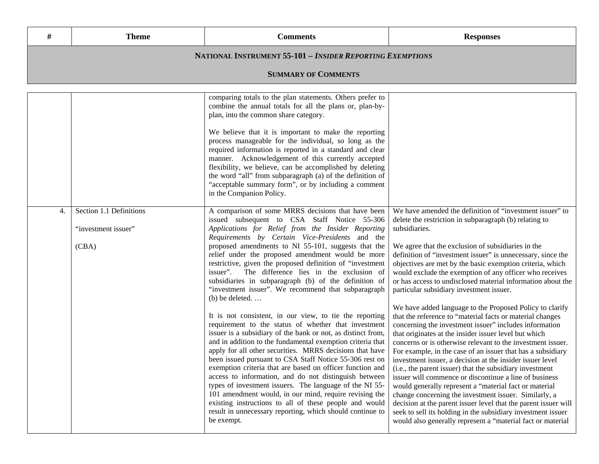| #  | <b>Theme</b>                                              | <b>Comments</b>                                                                                                                                                                                                                                                                                                                                                                                                                                                                                                                                                                                                                                                                                                                                                                                                                                                                                                                                                                                                                                                                                                                                                                                                                                                                                                                          | <b>Responses</b>                                                                                                                                                                                                                                                                                                                                                                                                                                                                                                                                                                                                                                                                                                                                                                                                                                                                                                                                                                                                                                                                                                                                                                                                                                                                                                                                                              |  |
|----|-----------------------------------------------------------|------------------------------------------------------------------------------------------------------------------------------------------------------------------------------------------------------------------------------------------------------------------------------------------------------------------------------------------------------------------------------------------------------------------------------------------------------------------------------------------------------------------------------------------------------------------------------------------------------------------------------------------------------------------------------------------------------------------------------------------------------------------------------------------------------------------------------------------------------------------------------------------------------------------------------------------------------------------------------------------------------------------------------------------------------------------------------------------------------------------------------------------------------------------------------------------------------------------------------------------------------------------------------------------------------------------------------------------|-------------------------------------------------------------------------------------------------------------------------------------------------------------------------------------------------------------------------------------------------------------------------------------------------------------------------------------------------------------------------------------------------------------------------------------------------------------------------------------------------------------------------------------------------------------------------------------------------------------------------------------------------------------------------------------------------------------------------------------------------------------------------------------------------------------------------------------------------------------------------------------------------------------------------------------------------------------------------------------------------------------------------------------------------------------------------------------------------------------------------------------------------------------------------------------------------------------------------------------------------------------------------------------------------------------------------------------------------------------------------------|--|
|    | NATIONAL INSTRUMENT 55-101 - INSIDER REPORTING EXEMPTIONS |                                                                                                                                                                                                                                                                                                                                                                                                                                                                                                                                                                                                                                                                                                                                                                                                                                                                                                                                                                                                                                                                                                                                                                                                                                                                                                                                          |                                                                                                                                                                                                                                                                                                                                                                                                                                                                                                                                                                                                                                                                                                                                                                                                                                                                                                                                                                                                                                                                                                                                                                                                                                                                                                                                                                               |  |
|    |                                                           | <b>SUMMARY OF COMMENTS</b>                                                                                                                                                                                                                                                                                                                                                                                                                                                                                                                                                                                                                                                                                                                                                                                                                                                                                                                                                                                                                                                                                                                                                                                                                                                                                                               |                                                                                                                                                                                                                                                                                                                                                                                                                                                                                                                                                                                                                                                                                                                                                                                                                                                                                                                                                                                                                                                                                                                                                                                                                                                                                                                                                                               |  |
|    |                                                           | comparing totals to the plan statements. Others prefer to<br>combine the annual totals for all the plans or, plan-by-<br>plan, into the common share category.<br>We believe that it is important to make the reporting<br>process manageable for the individual, so long as the<br>required information is reported in a standard and clear<br>manner. Acknowledgement of this currently accepted<br>flexibility, we believe, can be accomplished by deleting<br>the word "all" from subparagraph (a) of the definition of<br>"acceptable summary form", or by including a comment<br>in the Companion Policy.                                                                                                                                                                                                                                                                                                                                                                                                                                                                                                                                                                                                                                                                                                                          |                                                                                                                                                                                                                                                                                                                                                                                                                                                                                                                                                                                                                                                                                                                                                                                                                                                                                                                                                                                                                                                                                                                                                                                                                                                                                                                                                                               |  |
| 4. | Section 1.1 Definitions<br>"investment issuer"<br>(CBA)   | A comparison of some MRRS decisions that have been<br>issued subsequent to CSA Staff Notice 55-306<br>Applications for Relief from the Insider Reporting<br>Requirements by Certain Vice-Presidents and the<br>proposed amendments to NI 55-101, suggests that the<br>relief under the proposed amendment would be more<br>restrictive, given the proposed definition of "investment<br>The difference lies in the exclusion of<br>issuer".<br>subsidiaries in subparagraph (b) of the definition of<br>"investment issuer". We recommend that subparagraph<br>$(b)$ be deleted.<br>It is not consistent, in our view, to tie the reporting<br>requirement to the status of whether that investment<br>issuer is a subsidiary of the bank or not, as distinct from,<br>and in addition to the fundamental exemption criteria that<br>apply for all other securities. MRRS decisions that have<br>been issued pursuant to CSA Staff Notice 55-306 rest on<br>exemption criteria that are based on officer function and<br>access to information, and do not distinguish between<br>types of investment issuers. The language of the NI 55-<br>101 amendment would, in our mind, require revising the<br>existing instructions to all of these people and would<br>result in unnecessary reporting, which should continue to<br>be exempt. | We have amended the definition of "investment issuer" to<br>delete the restriction in subparagraph (b) relating to<br>subsidiaries.<br>We agree that the exclusion of subsidiaries in the<br>definition of "investment issuer" is unnecessary, since the<br>objectives are met by the basic exemption criteria, which<br>would exclude the exemption of any officer who receives<br>or has access to undisclosed material information about the<br>particular subsidiary investment issuer.<br>We have added language to the Proposed Policy to clarify<br>that the reference to "material facts or material changes<br>concerning the investment issuer" includes information<br>that originates at the insider issuer level but which<br>concerns or is otherwise relevant to the investment issuer.<br>For example, in the case of an issuer that has a subsidiary<br>investment issuer, a decision at the insider issuer level<br>(i.e., the parent issuer) that the subsidiary investment<br>issuer will commence or discontinue a line of business<br>would generally represent a "material fact or material<br>change concerning the investment issuer. Similarly, a<br>decision at the parent issuer level that the parent issuer will<br>seek to sell its holding in the subsidiary investment issuer<br>would also generally represent a "material fact or material |  |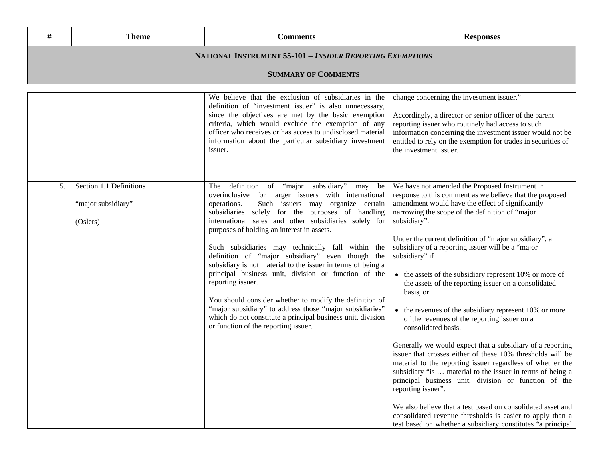| #  | <b>Theme</b>                                                     | <b>Comments</b>                                                                                                                                                                                                                                                                                                                                                                                                                                                                                                                                                                                                                                                                                                                                                                                                | <b>Responses</b>                                                                                                                                                                                                                                                                                                                                                                                                                                                                                                                                                                                                                                                                                                                                                                                                                                                                                                                                                                                                                                                                                                                                                    |  |  |
|----|------------------------------------------------------------------|----------------------------------------------------------------------------------------------------------------------------------------------------------------------------------------------------------------------------------------------------------------------------------------------------------------------------------------------------------------------------------------------------------------------------------------------------------------------------------------------------------------------------------------------------------------------------------------------------------------------------------------------------------------------------------------------------------------------------------------------------------------------------------------------------------------|---------------------------------------------------------------------------------------------------------------------------------------------------------------------------------------------------------------------------------------------------------------------------------------------------------------------------------------------------------------------------------------------------------------------------------------------------------------------------------------------------------------------------------------------------------------------------------------------------------------------------------------------------------------------------------------------------------------------------------------------------------------------------------------------------------------------------------------------------------------------------------------------------------------------------------------------------------------------------------------------------------------------------------------------------------------------------------------------------------------------------------------------------------------------|--|--|
|    | <b>NATIONAL INSTRUMENT 55-101 - INSIDER REPORTING EXEMPTIONS</b> |                                                                                                                                                                                                                                                                                                                                                                                                                                                                                                                                                                                                                                                                                                                                                                                                                |                                                                                                                                                                                                                                                                                                                                                                                                                                                                                                                                                                                                                                                                                                                                                                                                                                                                                                                                                                                                                                                                                                                                                                     |  |  |
|    |                                                                  | <b>SUMMARY OF COMMENTS</b>                                                                                                                                                                                                                                                                                                                                                                                                                                                                                                                                                                                                                                                                                                                                                                                     |                                                                                                                                                                                                                                                                                                                                                                                                                                                                                                                                                                                                                                                                                                                                                                                                                                                                                                                                                                                                                                                                                                                                                                     |  |  |
|    |                                                                  | We believe that the exclusion of subsidiaries in the<br>definition of "investment issuer" is also unnecessary,<br>since the objectives are met by the basic exemption<br>criteria, which would exclude the exemption of any<br>officer who receives or has access to undisclosed material<br>information about the particular subsidiary investment<br>issuer.                                                                                                                                                                                                                                                                                                                                                                                                                                                 | change concerning the investment issuer."<br>Accordingly, a director or senior officer of the parent<br>reporting issuer who routinely had access to such<br>information concerning the investment issuer would not be<br>entitled to rely on the exemption for trades in securities of<br>the investment issuer.                                                                                                                                                                                                                                                                                                                                                                                                                                                                                                                                                                                                                                                                                                                                                                                                                                                   |  |  |
| 5. | Section 1.1 Definitions<br>"major subsidiary"<br>(Oslers)        | definition of "major subsidiary"<br>The<br>may<br>be<br>overinclusive for larger issuers with international<br>Such issuers may organize certain<br>operations.<br>subsidiaries solely for the purposes of handling<br>international sales and other subsidiaries solely for<br>purposes of holding an interest in assets.<br>Such subsidiaries may technically fall within the<br>definition of "major subsidiary" even though the<br>subsidiary is not material to the issuer in terms of being a<br>principal business unit, division or function of the<br>reporting issuer.<br>You should consider whether to modify the definition of<br>"major subsidiary" to address those "major subsidiaries"<br>which do not constitute a principal business unit, division<br>or function of the reporting issuer. | We have not amended the Proposed Instrument in<br>response to this comment as we believe that the proposed<br>amendment would have the effect of significantly<br>narrowing the scope of the definition of "major<br>subsidiary".<br>Under the current definition of "major subsidiary", a<br>subsidiary of a reporting issuer will be a "major<br>subsidiary" if<br>• the assets of the subsidiary represent 10% or more of<br>the assets of the reporting issuer on a consolidated<br>basis, or<br>• the revenues of the subsidiary represent 10% or more<br>of the revenues of the reporting issuer on a<br>consolidated basis.<br>Generally we would expect that a subsidiary of a reporting<br>issuer that crosses either of these 10% thresholds will be<br>material to the reporting issuer regardless of whether the<br>subsidiary "is  material to the issuer in terms of being a<br>principal business unit, division or function of the<br>reporting issuer".<br>We also believe that a test based on consolidated asset and<br>consolidated revenue thresholds is easier to apply than a<br>test based on whether a subsidiary constitutes "a principal |  |  |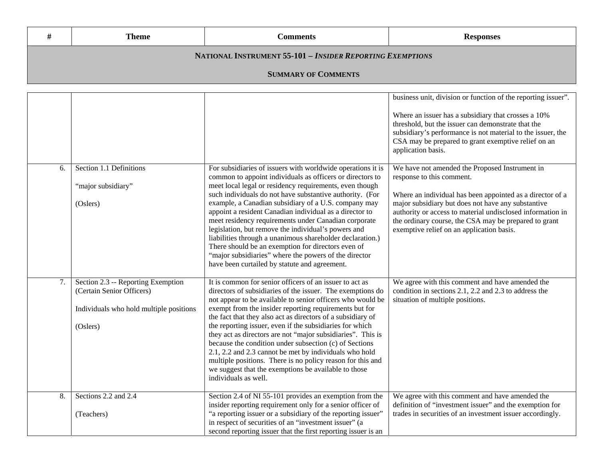|                                                                  | Theme                      | Comments | <b>Responses</b> |  |
|------------------------------------------------------------------|----------------------------|----------|------------------|--|
| <b>NATIONAL INSTRUMENT 55-101 - INSIDER REPORTING EXEMPTIONS</b> |                            |          |                  |  |
|                                                                  | <b>SUMMARY OF COMMENTS</b> |          |                  |  |
| business unit division or function of the reporting issuer.      |                            |          |                  |  |

|    |                                                                                                                        |                                                                                                                                                                                                                                                                                                                                                                                                                                                                                                                                                                                                                                                                                                                | business unit, division or function of the reporting issuer.<br>Where an issuer has a subsidiary that crosses a 10%<br>threshold, but the issuer can demonstrate that the<br>subsidiary's performance is not material to the issuer, the<br>CSA may be prepared to grant exemptive relief on an<br>application basis.                                              |
|----|------------------------------------------------------------------------------------------------------------------------|----------------------------------------------------------------------------------------------------------------------------------------------------------------------------------------------------------------------------------------------------------------------------------------------------------------------------------------------------------------------------------------------------------------------------------------------------------------------------------------------------------------------------------------------------------------------------------------------------------------------------------------------------------------------------------------------------------------|--------------------------------------------------------------------------------------------------------------------------------------------------------------------------------------------------------------------------------------------------------------------------------------------------------------------------------------------------------------------|
| 6. | Section 1.1 Definitions<br>"major subsidiary"<br>(Oslers)                                                              | For subsidiaries of issuers with worldwide operations it is<br>common to appoint individuals as officers or directors to<br>meet local legal or residency requirements, even though<br>such individuals do not have substantive authority. (For<br>example, a Canadian subsidiary of a U.S. company may<br>appoint a resident Canadian individual as a director to<br>meet residency requirements under Canadian corporate<br>legislation, but remove the individual's powers and<br>liabilities through a unanimous shareholder declaration.)<br>There should be an exemption for directors even of<br>"major subsidiaries" where the powers of the director<br>have been curtailed by statute and agreement. | We have not amended the Proposed Instrument in<br>response to this comment.<br>Where an individual has been appointed as a director of a<br>major subsidiary but does not have any substantive<br>authority or access to material undisclosed information in<br>the ordinary course, the CSA may be prepared to grant<br>exemptive relief on an application basis. |
| 7. | Section 2.3 -- Reporting Exemption<br>(Certain Senior Officers)<br>Individuals who hold multiple positions<br>(Oslers) | It is common for senior officers of an issuer to act as<br>directors of subsidiaries of the issuer. The exemptions do<br>not appear to be available to senior officers who would be<br>exempt from the insider reporting requirements but for<br>the fact that they also act as directors of a subsidiary of<br>the reporting issuer, even if the subsidiaries for which<br>they act as directors are not "major subsidiaries". This is<br>because the condition under subsection (c) of Sections<br>2.1, 2.2 and 2.3 cannot be met by individuals who hold<br>multiple positions. There is no policy reason for this and<br>we suggest that the exemptions be available to those<br>individuals as well.      | We agree with this comment and have amended the<br>condition in sections 2.1, 2.2 and 2.3 to address the<br>situation of multiple positions.                                                                                                                                                                                                                       |
| 8. | Sections 2.2 and 2.4<br>(Teachers)                                                                                     | Section 2.4 of NI 55-101 provides an exemption from the<br>insider reporting requirement only for a senior officer of<br>"a reporting issuer or a subsidiary of the reporting issuer"<br>in respect of securities of an "investment issuer" (a<br>second reporting issuer that the first reporting issuer is an                                                                                                                                                                                                                                                                                                                                                                                                | We agree with this comment and have amended the<br>definition of "investment issuer" and the exemption for<br>trades in securities of an investment issuer accordingly.                                                                                                                                                                                            |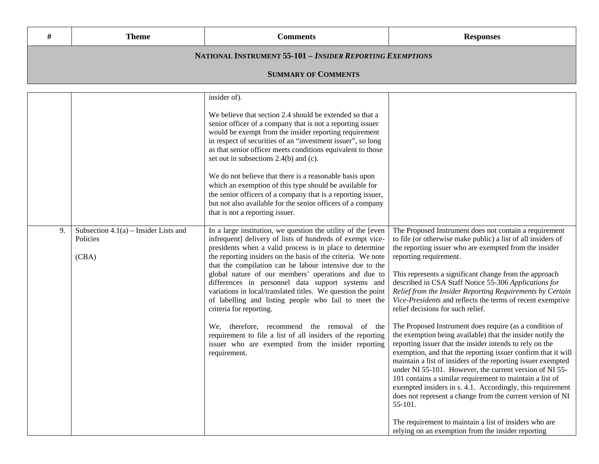| <b>Theme</b> | `omments | ponses<br>-- - - |
|--------------|----------|------------------|
|              |          |                  |

## **NATIONAL INSTRUMENT 55-101 –** *INSIDER REPORTING EXEMPTIONS*

## **SUMMARY OF COMMENTS**

|    |                                                              | insider of).                                                                                                                                                                                                                                                                                                                                                                                                                                                                                                                                                                    |                                                                                                                                                                                                                                                                                                                                                                                                                                                                                                                                                                                  |
|----|--------------------------------------------------------------|---------------------------------------------------------------------------------------------------------------------------------------------------------------------------------------------------------------------------------------------------------------------------------------------------------------------------------------------------------------------------------------------------------------------------------------------------------------------------------------------------------------------------------------------------------------------------------|----------------------------------------------------------------------------------------------------------------------------------------------------------------------------------------------------------------------------------------------------------------------------------------------------------------------------------------------------------------------------------------------------------------------------------------------------------------------------------------------------------------------------------------------------------------------------------|
|    |                                                              | We believe that section 2.4 should be extended so that a<br>senior officer of a company that is not a reporting issuer<br>would be exempt from the insider reporting requirement<br>in respect of securities of an "investment issuer", so long<br>as that senior officer meets conditions equivalent to those<br>set out in subsections 2.4(b) and (c).                                                                                                                                                                                                                        |                                                                                                                                                                                                                                                                                                                                                                                                                                                                                                                                                                                  |
|    |                                                              | We do not believe that there is a reasonable basis upon<br>which an exemption of this type should be available for<br>the senior officers of a company that is a reporting issuer,<br>but not also available for the senior officers of a company<br>that is not a reporting issuer.                                                                                                                                                                                                                                                                                            |                                                                                                                                                                                                                                                                                                                                                                                                                                                                                                                                                                                  |
| 9. | Subsection $4.1(a)$ – Insider Lists and<br>Policies<br>(CBA) | In a large institution, we question the utility of the [even<br>infrequent] delivery of lists of hundreds of exempt vice-<br>presidents when a valid process is in place to determine<br>the reporting insiders on the basis of the criteria. We note<br>that the compilation can be labour intensive due to the<br>global nature of our members' operations and due to<br>differences in personnel data support systems and<br>variations in local/translated titles. We question the point<br>of labelling and listing people who fail to meet the<br>criteria for reporting. | The Proposed Instrument does not contain a requirement<br>to file (or otherwise make public) a list of all insiders of<br>the reporting issuer who are exempted from the insider<br>reporting requirement.<br>This represents a significant change from the approach<br>described in CSA Staff Notice 55-306 Applications for<br>Relief from the Insider Reporting Requirements by Certain<br>Vice-Presidents and reflects the terms of recent exemptive<br>relief decisions for such relief.                                                                                    |
|    |                                                              | We, therefore, recommend the removal of the<br>requirement to file a list of all insiders of the reporting<br>issuer who are exempted from the insider reporting<br>requirement.                                                                                                                                                                                                                                                                                                                                                                                                | The Proposed Instrument does require (as a condition of<br>the exemption being available) that the insider notify the<br>reporting issuer that the insider intends to rely on the<br>exemption, and that the reporting issuer confirm that it will<br>maintain a list of insiders of the reporting issuer exempted<br>under NI 55-101. However, the current version of NI 55-<br>101 contains a similar requirement to maintain a list of<br>exempted insiders in s. 4.1. Accordingly, this requirement<br>does not represent a change from the current version of NI<br>55-101. |
|    |                                                              |                                                                                                                                                                                                                                                                                                                                                                                                                                                                                                                                                                                 | The requirement to maintain a list of insiders who are<br>relying on an exemption from the insider reporting                                                                                                                                                                                                                                                                                                                                                                                                                                                                     |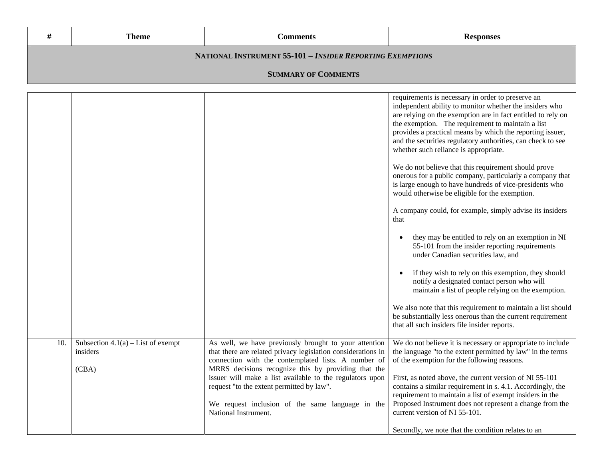|                                                           | <b>Theme</b> | Comments | <b>Responses</b> |  |
|-----------------------------------------------------------|--------------|----------|------------------|--|
| NATIONAL INSTRUMENT 55-101 - INSIDER REPORTING EXEMPTIONS |              |          |                  |  |
| <b>SUMMARY OF COMMENTS</b>                                |              |          |                  |  |

|     |                                                           |                                                                                                                                                                                                                                                                                                                                                                                                                          | requirements is necessary in order to preserve an<br>independent ability to monitor whether the insiders who<br>are relying on the exemption are in fact entitled to rely on<br>the exemption. The requirement to maintain a list<br>provides a practical means by which the reporting issuer,<br>and the securities regulatory authorities, can check to see<br>whether such reliance is appropriate.<br>We do not believe that this requirement should prove<br>onerous for a public company, particularly a company that<br>is large enough to have hundreds of vice-presidents who<br>would otherwise be eligible for the exemption.<br>A company could, for example, simply advise its insiders<br>that<br>they may be entitled to rely on an exemption in NI<br>55-101 from the insider reporting requirements<br>under Canadian securities law, and<br>if they wish to rely on this exemption, they should<br>notify a designated contact person who will<br>maintain a list of people relying on the exemption.<br>We also note that this requirement to maintain a list should<br>be substantially less onerous than the current requirement<br>that all such insiders file insider reports. |
|-----|-----------------------------------------------------------|--------------------------------------------------------------------------------------------------------------------------------------------------------------------------------------------------------------------------------------------------------------------------------------------------------------------------------------------------------------------------------------------------------------------------|-------------------------------------------------------------------------------------------------------------------------------------------------------------------------------------------------------------------------------------------------------------------------------------------------------------------------------------------------------------------------------------------------------------------------------------------------------------------------------------------------------------------------------------------------------------------------------------------------------------------------------------------------------------------------------------------------------------------------------------------------------------------------------------------------------------------------------------------------------------------------------------------------------------------------------------------------------------------------------------------------------------------------------------------------------------------------------------------------------------------------------------------------------------------------------------------------------|
| 10. | Subsection $4.1(a)$ – List of exempt<br>insiders<br>(CBA) | As well, we have previously brought to your attention<br>that there are related privacy legislation considerations in<br>connection with the contemplated lists. A number of<br>MRRS decisions recognize this by providing that the<br>issuer will make a list available to the regulators upon<br>request "to the extent permitted by law".<br>We request inclusion of the same language in the<br>National Instrument. | We do not believe it is necessary or appropriate to include<br>the language "to the extent permitted by law" in the terms<br>of the exemption for the following reasons.<br>First, as noted above, the current version of NI 55-101<br>contains a similar requirement in s. 4.1. Accordingly, the<br>requirement to maintain a list of exempt insiders in the<br>Proposed Instrument does not represent a change from the<br>current version of NI 55-101.<br>Secondly, we note that the condition relates to an                                                                                                                                                                                                                                                                                                                                                                                                                                                                                                                                                                                                                                                                                      |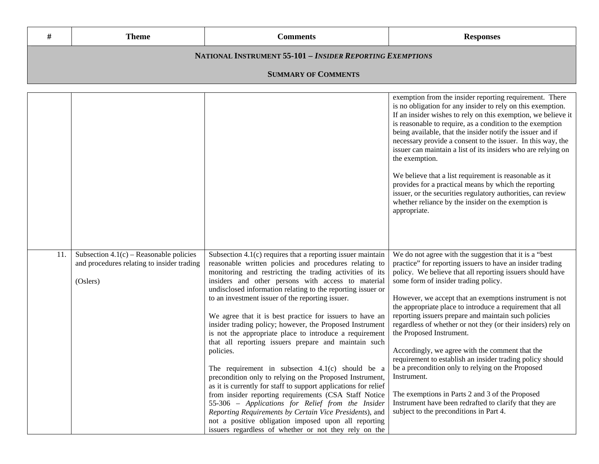|                                                           | Theme                      | Comments | <b>Responses</b> |  |
|-----------------------------------------------------------|----------------------------|----------|------------------|--|
| NATIONAL INSTRUMENT 55-101 - INSIDER REPORTING EXEMPTIONS |                            |          |                  |  |
|                                                           | <b>SUMMARY OF COMMENTS</b> |          |                  |  |
| exemption from the insider reporting requirement. There   |                            |          |                  |  |

|                                                                                                            |                                                                                                                                                                                                                                                                                                                                                                                                                                                                                                                                                                                                                                                                                                                                                                                                                                                                                                                                                                                                                                            | exemption from the misider reporting requirement. There<br>is no obligation for any insider to rely on this exemption.<br>If an insider wishes to rely on this exemption, we believe it<br>is reasonable to require, as a condition to the exemption<br>being available, that the insider notify the issuer and if<br>necessary provide a consent to the issuer. In this way, the<br>issuer can maintain a list of its insiders who are relying on<br>the exemption.<br>We believe that a list requirement is reasonable as it<br>provides for a practical means by which the reporting<br>issuer, or the securities regulatory authorities, can review<br>whether reliance by the insider on the exemption is<br>appropriate.                                                                                                                      |
|------------------------------------------------------------------------------------------------------------|--------------------------------------------------------------------------------------------------------------------------------------------------------------------------------------------------------------------------------------------------------------------------------------------------------------------------------------------------------------------------------------------------------------------------------------------------------------------------------------------------------------------------------------------------------------------------------------------------------------------------------------------------------------------------------------------------------------------------------------------------------------------------------------------------------------------------------------------------------------------------------------------------------------------------------------------------------------------------------------------------------------------------------------------|-----------------------------------------------------------------------------------------------------------------------------------------------------------------------------------------------------------------------------------------------------------------------------------------------------------------------------------------------------------------------------------------------------------------------------------------------------------------------------------------------------------------------------------------------------------------------------------------------------------------------------------------------------------------------------------------------------------------------------------------------------------------------------------------------------------------------------------------------------|
| Subsection $4.1(c)$ – Reasonable policies<br>11.<br>and procedures relating to insider trading<br>(Oslers) | Subsection $4.1(c)$ requires that a reporting issuer maintain<br>reasonable written policies and procedures relating to<br>monitoring and restricting the trading activities of its<br>insiders and other persons with access to material<br>undisclosed information relating to the reporting issuer or<br>to an investment issuer of the reporting issuer.<br>We agree that it is best practice for issuers to have an<br>insider trading policy; however, the Proposed Instrument<br>is not the appropriate place to introduce a requirement<br>that all reporting issuers prepare and maintain such<br>policies.<br>The requirement in subsection $4.1(c)$ should be a<br>precondition only to relying on the Proposed Instrument,<br>as it is currently for staff to support applications for relief<br>from insider reporting requirements (CSA Staff Notice<br>55-306 - Applications for Relief from the Insider<br>Reporting Requirements by Certain Vice Presidents), and<br>not a positive obligation imposed upon all reporting | We do not agree with the suggestion that it is a "best<br>practice" for reporting issuers to have an insider trading<br>policy. We believe that all reporting issuers should have<br>some form of insider trading policy.<br>However, we accept that an exemptions instrument is not<br>the appropriate place to introduce a requirement that all<br>reporting issuers prepare and maintain such policies<br>regardless of whether or not they (or their insiders) rely on<br>the Proposed Instrument.<br>Accordingly, we agree with the comment that the<br>requirement to establish an insider trading policy should<br>be a precondition only to relying on the Proposed<br>Instrument.<br>The exemptions in Parts 2 and 3 of the Proposed<br>Instrument have been redrafted to clarify that they are<br>subject to the preconditions in Part 4. |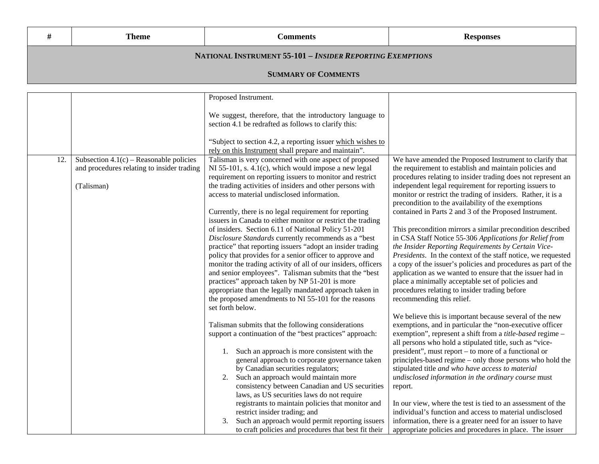|                                                           | Theme | <b>Comments</b> | <b>Responses</b> |  |
|-----------------------------------------------------------|-------|-----------------|------------------|--|
| NATIONAL INSTRUMENT 55-101 - INSIDER REPORTING EXEMPTIONS |       |                 |                  |  |

## **SUMMARY OF COMMENTS**

|     |                                                                                         | Proposed Instrument.                                                                                                                                                           |                                                                                                                                                                                                                                  |
|-----|-----------------------------------------------------------------------------------------|--------------------------------------------------------------------------------------------------------------------------------------------------------------------------------|----------------------------------------------------------------------------------------------------------------------------------------------------------------------------------------------------------------------------------|
|     |                                                                                         | We suggest, therefore, that the introductory language to<br>section 4.1 be redrafted as follows to clarify this:                                                               |                                                                                                                                                                                                                                  |
|     |                                                                                         | "Subject to section 4.2, a reporting issuer which wishes to<br>rely on this Instrument shall prepare and maintain".                                                            |                                                                                                                                                                                                                                  |
| 12. | Subsection $4.1(c)$ – Reasonable policies<br>and procedures relating to insider trading | Talisman is very concerned with one aspect of proposed<br>NI 55-101, s. 4.1(c), which would impose a new legal<br>requirement on reporting issuers to monitor and restrict     | We have amended the Proposed Instrument to clarify that<br>the requirement to establish and maintain policies and<br>procedures relating to insider trading does not represent an                                                |
|     | (Talisman)                                                                              | the trading activities of insiders and other persons with<br>access to material undisclosed information.                                                                       | independent legal requirement for reporting issuers to<br>monitor or restrict the trading of insiders. Rather, it is a<br>precondition to the availability of the exemptions                                                     |
|     |                                                                                         | Currently, there is no legal requirement for reporting<br>issuers in Canada to either monitor or restrict the trading<br>of insiders. Section 6.11 of National Policy 51-201   | contained in Parts 2 and 3 of the Proposed Instrument.<br>This precondition mirrors a similar precondition described                                                                                                             |
|     |                                                                                         | Disclosure Standards currently recommends as a "best<br>practice" that reporting issuers "adopt an insider trading<br>policy that provides for a senior officer to approve and | in CSA Staff Notice 55-306 Applications for Relief from<br>the Insider Reporting Requirements by Certain Vice-<br>Presidents. In the context of the staff notice, we requested                                                   |
|     |                                                                                         | monitor the trading activity of all of our insiders, officers<br>and senior employees". Talisman submits that the "best<br>practices" approach taken by NP 51-201 is more      | a copy of the issuer's policies and procedures as part of the<br>application as we wanted to ensure that the issuer had in<br>place a minimally acceptable set of policies and                                                   |
|     |                                                                                         | appropriate than the legally mandated approach taken in<br>the proposed amendments to NI 55-101 for the reasons<br>set forth below.                                            | procedures relating to insider trading before<br>recommending this relief.                                                                                                                                                       |
|     |                                                                                         | Talisman submits that the following considerations<br>support a continuation of the "best practices" approach:                                                                 | We believe this is important because several of the new<br>exemptions, and in particular the "non-executive officer<br>exemption", represent a shift from a <i>title-based</i> regime -                                          |
|     |                                                                                         | Such an approach is more consistent with the<br>1.<br>general approach to corporate governance taken<br>by Canadian securities regulators;                                     | all persons who hold a stipulated title, such as "vice-<br>president", must report – to more of a functional or<br>principles-based regime - only those persons who hold the<br>stipulated title and who have access to material |
|     |                                                                                         | Such an approach would maintain more<br>2.<br>consistency between Canadian and US securities                                                                                   | undisclosed information in the ordinary course must<br>report.                                                                                                                                                                   |
|     |                                                                                         | laws, as US securities laws do not require<br>registrants to maintain policies that monitor and<br>restrict insider trading; and                                               | In our view, where the test is tied to an assessment of the<br>individual's function and access to material undisclosed                                                                                                          |
|     |                                                                                         | Such an approach would permit reporting issuers<br>3.<br>to craft policies and procedures that best fit their                                                                  | information, there is a greater need for an issuer to have<br>appropriate policies and procedures in place. The issuer                                                                                                           |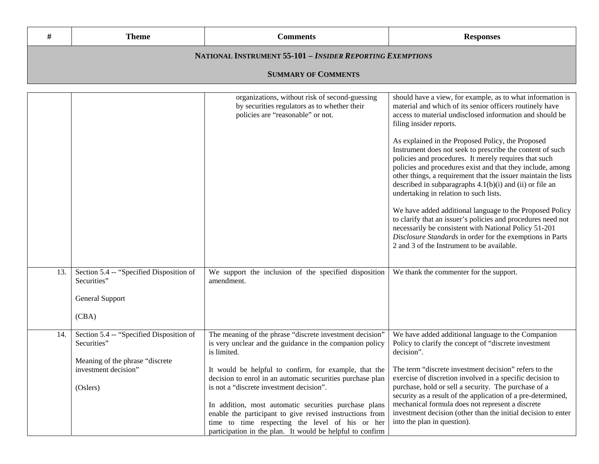| #                          | <b>Theme</b>                                                     | <b>Comments</b>                                                                                                                     | <b>Responses</b>                                                                                                                                                                                                                                                                                                                                                                                                                                                                                                         |  |
|----------------------------|------------------------------------------------------------------|-------------------------------------------------------------------------------------------------------------------------------------|--------------------------------------------------------------------------------------------------------------------------------------------------------------------------------------------------------------------------------------------------------------------------------------------------------------------------------------------------------------------------------------------------------------------------------------------------------------------------------------------------------------------------|--|
|                            | <b>NATIONAL INSTRUMENT 55-101 - INSIDER REPORTING EXEMPTIONS</b> |                                                                                                                                     |                                                                                                                                                                                                                                                                                                                                                                                                                                                                                                                          |  |
| <b>SUMMARY OF COMMENTS</b> |                                                                  |                                                                                                                                     |                                                                                                                                                                                                                                                                                                                                                                                                                                                                                                                          |  |
|                            |                                                                  | organizations, without risk of second-guessing<br>by securities regulators as to whether their<br>policies are "reasonable" or not. | should have a view, for example, as to what information is<br>material and which of its senior officers routinely have<br>access to material undisclosed information and should be<br>filing insider reports.<br>As explained in the Proposed Policy, the Proposed<br>Instrument does not seek to prescribe the content of such<br>policies and procedures. It merely requires that such<br>policies and procedures exist and that they include, among<br>other things, a requirement that the issuer maintain the lists |  |

 $\mathbb{R}^n$ 

described in subparagraphs 4.1(b)(i) and (ii) or file an

We have added additional language to the Proposed Policy to clarify that an issuer's policies and procedures need not

undertaking in relation to such lists.

|     |                                                         |                                                                                                                                     | necessarily be consistent with National Policy 51-201<br>Disclosure Standards in order for the exemptions in Parts<br>2 and 3 of the Instrument to be available. |
|-----|---------------------------------------------------------|-------------------------------------------------------------------------------------------------------------------------------------|------------------------------------------------------------------------------------------------------------------------------------------------------------------|
| 13. | Section 5.4 -- "Specified Disposition of<br>Securities" | We support the inclusion of the specified disposition<br>amendment.                                                                 | We thank the commenter for the support.                                                                                                                          |
|     | General Support                                         |                                                                                                                                     |                                                                                                                                                                  |
|     | (CBA)                                                   |                                                                                                                                     |                                                                                                                                                                  |
| 14. | Section 5.4 -- "Specified Disposition of<br>Securities" | The meaning of the phrase "discrete investment decision"<br>is very unclear and the guidance in the companion policy<br>is limited. | We have added additional language to the Companion<br>Policy to clarify the concept of "discrete investment"<br>decision".                                       |
|     | Meaning of the phrase "discrete"                        |                                                                                                                                     |                                                                                                                                                                  |
|     | investment decision"                                    | It would be helpful to confirm, for example, that the<br>decision to enrol in an automatic securities purchase plan                 | The term "discrete investment decision" refers to the<br>exercise of discretion involved in a specific decision to                                               |
|     | (Oslers)                                                | is not a "discrete investment decision".                                                                                            | purchase, hold or sell a security. The purchase of a<br>security as a result of the application of a pre-determined,                                             |
|     |                                                         | In addition, most automatic securities purchase plans                                                                               | mechanical formula does not represent a discrete                                                                                                                 |
|     |                                                         | enable the participant to give revised instructions from                                                                            | investment decision (other than the initial decision to enter                                                                                                    |
|     |                                                         | time to time respecting the level of his or her                                                                                     | into the plan in question).                                                                                                                                      |
|     |                                                         | participation in the plan. It would be helpful to confirm                                                                           |                                                                                                                                                                  |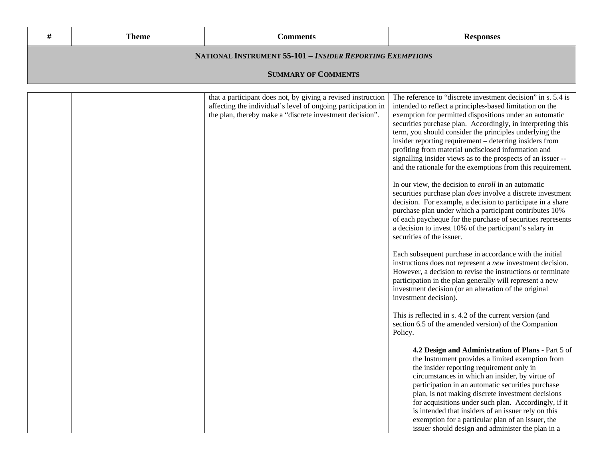|                                                           | <b>Theme</b> | Comments | <b>Responses</b> |  |
|-----------------------------------------------------------|--------------|----------|------------------|--|
| NATIONAL INSTRUMENT 55-101 - INSIDER REPORTING EXEMPTIONS |              |          |                  |  |
| <b>SUMMARY OF COMMENTS</b>                                |              |          |                  |  |

| that a participant does not, by giving a revised instruction<br>affecting the individual's level of ongoing participation in<br>the plan, thereby make a "discrete investment decision". | The reference to "discrete investment decision" in s. 5.4 is<br>intended to reflect a principles-based limitation on the<br>exemption for permitted dispositions under an automatic<br>securities purchase plan. Accordingly, in interpreting this<br>term, you should consider the principles underlying the<br>insider reporting requirement – deterring insiders from<br>profiting from material undisclosed information and<br>signalling insider views as to the prospects of an issuer --<br>and the rationale for the exemptions from this requirement.<br>In our view, the decision to <i>enroll</i> in an automatic<br>securities purchase plan <i>does</i> involve a discrete investment<br>decision. For example, a decision to participate in a share<br>purchase plan under which a participant contributes 10%<br>of each paycheque for the purchase of securities represents<br>a decision to invest 10% of the participant's salary in<br>securities of the issuer.<br>Each subsequent purchase in accordance with the initial<br>instructions does not represent a new investment decision.<br>However, a decision to revise the instructions or terminate<br>participation in the plan generally will represent a new<br>investment decision (or an alteration of the original<br>investment decision).<br>This is reflected in s. 4.2 of the current version (and<br>section 6.5 of the amended version) of the Companion<br>Policy. |
|------------------------------------------------------------------------------------------------------------------------------------------------------------------------------------------|---------------------------------------------------------------------------------------------------------------------------------------------------------------------------------------------------------------------------------------------------------------------------------------------------------------------------------------------------------------------------------------------------------------------------------------------------------------------------------------------------------------------------------------------------------------------------------------------------------------------------------------------------------------------------------------------------------------------------------------------------------------------------------------------------------------------------------------------------------------------------------------------------------------------------------------------------------------------------------------------------------------------------------------------------------------------------------------------------------------------------------------------------------------------------------------------------------------------------------------------------------------------------------------------------------------------------------------------------------------------------------------------------------------------------------------------------------|
|                                                                                                                                                                                          | 4.2 Design and Administration of Plans - Part 5 of<br>the Instrument provides a limited exemption from<br>the insider reporting requirement only in<br>circumstances in which an insider, by virtue of<br>participation in an automatic securities purchase<br>plan, is not making discrete investment decisions<br>for acquisitions under such plan. Accordingly, if it<br>is intended that insiders of an issuer rely on this<br>exemption for a particular plan of an issuer, the<br>issuer should design and administer the plan in a                                                                                                                                                                                                                                                                                                                                                                                                                                                                                                                                                                                                                                                                                                                                                                                                                                                                                                               |